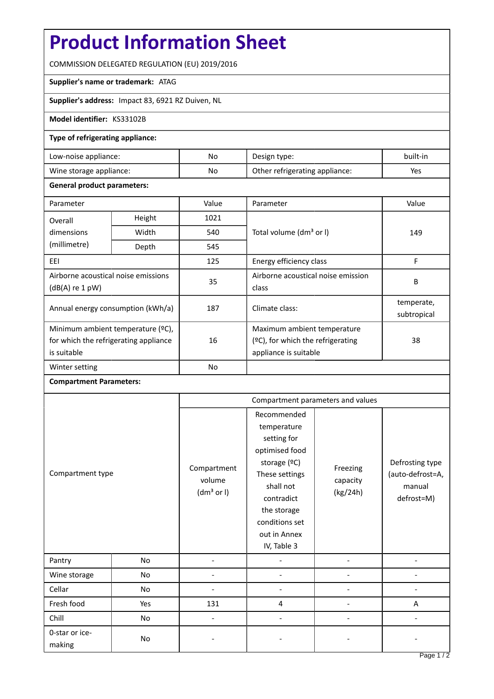# **Product Information Sheet**

COMMISSION DELEGATED REGULATION (EU) 2019/2016

### **Supplier's name or trademark:** ATAG

**Supplier's address:** Impact 83, 6921 RZ Duiven, NL

### **Model identifier:** KS33102B

#### **Type of refrigerating appliance:**

| Low-noise appliance:    | No. | Design type:                   | built-in |
|-------------------------|-----|--------------------------------|----------|
| Wine storage appliance: | No  | Other refrigerating appliance: | Yes      |

#### **General product parameters:**

| Parameter                                                                                 |        | Value     | Parameter                                                                                    | Value                     |
|-------------------------------------------------------------------------------------------|--------|-----------|----------------------------------------------------------------------------------------------|---------------------------|
| Overall                                                                                   | Height | 1021      |                                                                                              | 149                       |
| dimensions<br>(millimetre)                                                                | Width  | 540       | Total volume (dm <sup>3</sup> or I)                                                          |                           |
|                                                                                           | Depth  | 545       |                                                                                              |                           |
| EEI                                                                                       |        | 125       | Energy efficiency class                                                                      | F                         |
| Airborne acoustical noise emissions<br>$(dB(A)$ re 1 pW)                                  |        | 35        | Airborne acoustical noise emission<br>class                                                  | B                         |
| Annual energy consumption (kWh/a)                                                         |        | 187       | Climate class:                                                                               | temperate,<br>subtropical |
| Minimum ambient temperature (°C),<br>for which the refrigerating appliance<br>is suitable |        | 16        | Maximum ambient temperature<br>$(2C)$ , for which the refrigerating<br>appliance is suitable | 38                        |
| Winter setting                                                                            |        | <b>No</b> |                                                                                              |                           |

## **Compartment Parameters:**

| Compartment type         |           | Compartment parameters and values               |                                                                                                                                                                                          |                                  |                                                             |
|--------------------------|-----------|-------------------------------------------------|------------------------------------------------------------------------------------------------------------------------------------------------------------------------------------------|----------------------------------|-------------------------------------------------------------|
|                          |           | Compartment<br>volume<br>(dm <sup>3</sup> or I) | Recommended<br>temperature<br>setting for<br>optimised food<br>storage (°C)<br>These settings<br>shall not<br>contradict<br>the storage<br>conditions set<br>out in Annex<br>IV, Table 3 | Freezing<br>capacity<br>(kg/24h) | Defrosting type<br>(auto-defrost=A,<br>manual<br>defrost=M) |
| Pantry                   | No        |                                                 |                                                                                                                                                                                          |                                  |                                                             |
| Wine storage             | <b>No</b> |                                                 |                                                                                                                                                                                          |                                  |                                                             |
| Cellar                   | No        |                                                 |                                                                                                                                                                                          |                                  |                                                             |
| Fresh food               | Yes       | 131                                             | 4                                                                                                                                                                                        |                                  | A                                                           |
| Chill                    | No        |                                                 |                                                                                                                                                                                          |                                  |                                                             |
| 0-star or ice-<br>making | No        |                                                 |                                                                                                                                                                                          |                                  |                                                             |